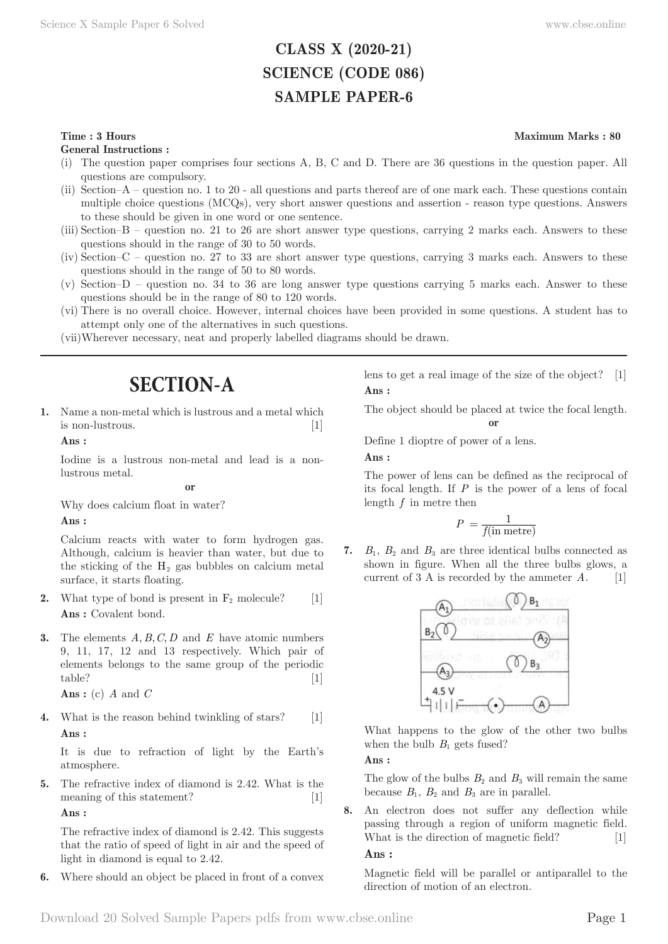# **CLASS X (2020-21) SCIENCE (CODE 086) SAMPLE PAPER-6**

### **Time : 3 Hours** Maximum Marks : 80

**General Instructions :**

- (i) The question paper comprises four sections A, B, C and D. There are 36 questions in the question paper. All questions are compulsory.
- (ii) Section–A question no. 1 to 20 all questions and parts thereof are of one mark each. These questions contain multiple choice questions (MCQs), very short answer questions and assertion - reason type questions. Answers to these should be given in one word or one sentence.
- (iii) Section–B question no. 21 to 26 are short answer type questions, carrying 2 marks each. Answers to these questions should in the range of 30 to 50 words.
- (iv) Section–C question no. 27 to 33 are short answer type questions, carrying 3 marks each. Answers to these questions should in the range of 50 to 80 words.
- (v) Section–D question no. 34 to 36 are long answer type questions carrying 5 marks each. Answer to these questions should be in the range of 80 to 120 words.
- (vi) There is no overall choice. However, internal choices have been provided in some questions. A student has to attempt only one of the alternatives in such questions.
- (vii) Wherever necessary, neat and properly labelled diagrams should be drawn.

# **SECTION-A**

**1.** Name a non-metal which is lustrous and a metal which is non-lustrous. [1]

# **Ans :**

Iodine is a lustrous non-metal and lead is a nonlustrous metal.

#### **or**

Why does calcium float in water?

#### **Ans :**

Calcium reacts with water to form hydrogen gas. Although, calcium is heavier than water, but due to the sticking of the  $H_2$  gas bubbles on calcium metal surface, it starts floating.

- **2.** What type of bond is present in  $F_2$  molecule? [1] Ans : Covalent bond.
- **3.** The elements *A, B, C, D* and *E* have atomic numbers 9, 11, 17, 12 and 13 respectively. Which pair of elements belongs to the same group of the periodic table? [1]

**Ans :** (c) *A* and *C*

**4.** What is the reason behind twinkling of stars? [1] **Ans :** 

It is due to refraction of light by the Earth's atmosphere.

**5.** The refractive index of diamond is 2.42. What is the meaning of this statement? [1] **Ans :** 

The refractive index of diamond is 2.42. This suggests that the ratio of speed of light in air and the speed of light in diamond is equal to 2.42.

**6.** Where should an object be placed in front of a convex

lens to get a real image of the size of the object? [1] **Ans :** 

The object should be placed at twice the focal length. **or**

Define 1 dioptre of power of a lens.

#### **Ans :**

The power of lens can be defined as the reciprocal of its focal length. If *P* is the power of a lens of focal length *f* in metre then

$$
P\ =\frac{1}{f({\rm in\ metre})}
$$

**7.**  $B_1$ ,  $B_2$  and  $B_3$  are three identical bulbs connected as shown in figure. When all the three bulbs glows, a current of  $3 \text{ Å}$  is recorded by the ammeter  $\hat{A}$ . [1]



What happens to the glow of the other two bulbs when the bulb  $B_1$  gets fused?

# **Ans :**

The glow of the bulbs  $B_2$  and  $B_3$  will remain the same because  $B_1$ ,  $B_2$  and  $B_3$  are in parallel.

**8.** An electron does not suffer any deflection while passing through a region of uniform magnetic field. What is the direction of magnetic field? [1]

#### **Ans :**

Magnetic field will be parallel or antiparallel to the direction of motion of an electron.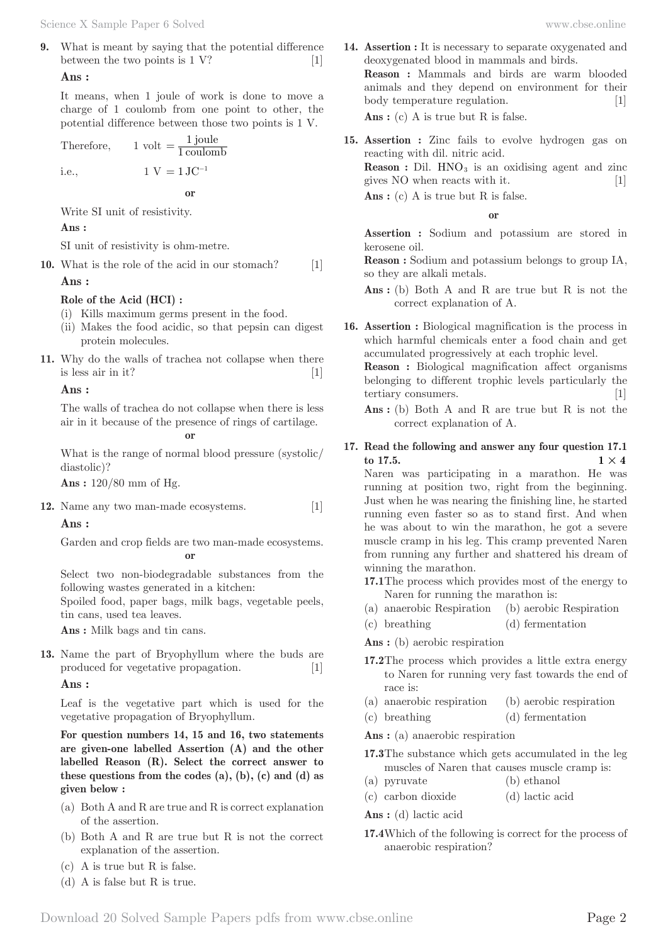**9.** What is meant by saying that the potential difference between the two points is  $1 \text{ V}$ ? [1]

### **Ans :**

It means, when 1 joule of work is done to move a charge of 1 coulomb from one point to other, the potential difference between those two points is 1 V.

Therefore,  $1 \text{ volt} = \frac{1 \text{ joule}}{1 \text{ coulomb}}$  $=\frac{1}{1 \text{ c}}$ i.e.,  $1 \text{ V} = 1 \text{ JC}^{-1}$ 

**or**

Write SI unit of resistivity.

#### **Ans :**

SI unit of resistivity is ohm-metre.

**10.** What is the role of the acid in our stomach? [1]

#### **Ans :**

#### **Role of the Acid (HCI) :**

- (i) Kills maximum germs present in the food.
- (ii) Makes the food acidic, so that pepsin can digest protein molecules.
- **11.** Why do the walls of trachea not collapse when there is less air in it?  $[1]$

#### **Ans :**

The walls of trachea do not collapse when there is less air in it because of the presence of rings of cartilage.

**or**

What is the range of normal blood pressure (systolic/ diastolic)?

**Ans :** 120/80 mm of Hg.

**12.** Name any two man-made ecosystems. [1] **Ans :** 

Garden and crop fields are two man-made ecosystems. **or**

Select two non-biodegradable substances from the following wastes generated in a kitchen:

Spoiled food, paper bags, milk bags, vegetable peels, tin cans, used tea leaves.

**Ans :** Milk bags and tin cans.

**13.** Name the part of Bryophyllum where the buds are produced for vegetative propagation. [1]

#### **Ans :**

Leaf is the vegetative part which is used for the vegetative propagation of Bryophyllum.

**For question numbers 14, 15 and 16, two statements are given-one labelled Assertion (A) and the other labelled Reason (R). Select the correct answer to these questions from the codes (a), (b), (c) and (d) as given below :**

- (a) Both A and R are true and R is correct explanation of the assertion.
- (b) Both A and R are true but R is not the correct explanation of the assertion.
- (c) A is true but R is false.
- (d) A is false but R is true.

**14. Assertion :** It is necessary to separate oxygenated and deoxygenated blood in mammals and birds. **Reason :** Mammals and birds are warm blooded animals and they depend on environment for their

body temperature regulation. [1]

Ans : (c) A is true but R is false.

**15. Assertion :** Zinc fails to evolve hydrogen gas on reacting with dil. nitric acid. **Reason :** Dil. HNO<sub>3</sub> is an oxidising agent and zinc

gives NO when reacts with it. [1]

Ans : (c) A is true but R is false.

#### **or**

**Assertion :** Sodium and potassium are stored in kerosene oil.

**Reason :** Sodium and potassium belongs to group IA, so they are alkali metals.

- Ans : (b) Both A and R are true but R is not the correct explanation of A.
- **16. Assertion :** Biological magnification is the process in which harmful chemicals enter a food chain and get accumulated progressively at each trophic level.

**Reason :** Biological magnification affect organisms belonging to different trophic levels particularly the tertiary consumers. [1]

**Ans :** (b) Both A and R are true but R is not the correct explanation of A.

#### **17. Read the following and answer any four question 17.1**   $1 \times 4$

Naren was participating in a marathon. He was running at position two, right from the beginning. Just when he was nearing the finishing line, he started running even faster so as to stand first. And when he was about to win the marathon, he got a severe muscle cramp in his leg. This cramp prevented Naren from running any further and shattered his dream of winning the marathon.

- **17.1** The process which provides most of the energy to Naren for running the marathon is:
- (a) anaerobic Respiration (b) aerobic Respiration
- (c) breathing (d) fermentation

**Ans :** (b) aerobic respiration

- **17.2** The process which provides a little extra energy to Naren for running very fast towards the end of race is:
- (a) anaerobic respiration (b) aerobic respiration
- (c) breathing (d) fermentation

**Ans :** (a) anaerobic respiration

**17.3** The substance which gets accumulated in the leg muscles of Naren that causes muscle cramp is:

- (a) pyruvate (b) ethanol
- (c) carbon dioxide (d) lactic acid

**Ans :** (d) lactic acid

**17.4** Which of the following is correct for the process of anaerobic respiration?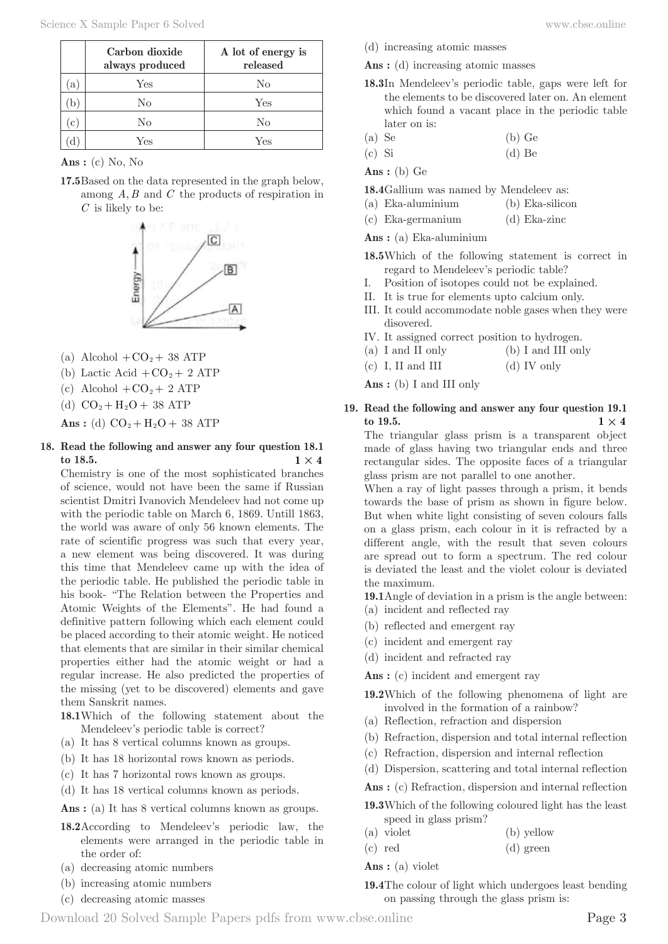|              | Carbon dioxide<br>always produced | A lot of energy is<br>released |
|--------------|-----------------------------------|--------------------------------|
| $\mathbf{a}$ | Yes                               | No                             |
|              | No                                | Yes                            |
| $\mathbf{c}$ | No                                | No                             |
|              | Yes                               | Yes                            |

#### **Ans :** (c) No, No

**17.5** Based on the data represented in the graph below, among *A B*, and *C* the products of respiration in *C* is likely to be:



- (a) Alcohol  $+CO<sub>2</sub>+38$  ATP
- (b) Lactic Acid  $+CO<sub>2</sub>+2$  ATP
- (c) Alcohol  $+CO<sub>2</sub> + 2 ATP$
- (d)  $CO_2 + H_2O + 38$  ATP

**Ans** : (d)  $CO_2 + H_2O + 38$  ATP

**18. Read the following and answer any four question 18.1 to 18.5. 1**  $\times$  **4** 

Chemistry is one of the most sophisticated branches of science, would not have been the same if Russian scientist Dmitri Ivanovich Mendeleev had not come up with the periodic table on March 6, 1869. Untill 1863, the world was aware of only 56 known elements. The rate of scientific progress was such that every year, a new element was being discovered. It was during this time that Mendeleev came up with the idea of the periodic table. He published the periodic table in his book- "The Relation between the Properties and Atomic Weights of the Elements". He had found a definitive pattern following which each element could be placed according to their atomic weight. He noticed that elements that are similar in their similar chemical properties either had the atomic weight or had a regular increase. He also predicted the properties of the missing (yet to be discovered) elements and gave them Sanskrit names.

- **18.1** Which of the following statement about the Mendeleev's periodic table is correct?
- (a) It has 8 vertical columns known as groups.
- (b) It has 18 horizontal rows known as periods.
- (c) It has 7 horizontal rows known as groups.
- (d) It has 18 vertical columns known as periods.

Ans : (a) It has 8 vertical columns known as groups.

- **18.2** According to Mendeleev's periodic law, the elements were arranged in the periodic table in the order of:
- (a) decreasing atomic numbers
- (b) increasing atomic numbers (c) decreasing atomic masses
- (d) increasing atomic masses
- Ans : (d) increasing atomic masses
- **18.3** In Mendeleev's periodic table, gaps were left for the elements to be discovered later on. An element which found a vacant place in the periodic table later on is:
- $(a)$  Se  $(b)$  Ge
- (c) Si (d) Be
- **Ans :** (b) Ge

**18.4** Gallium was named by Mendeleev as:

- (a) Eka-aluminium (b) Eka-silicon
- (c) Eka-germanium (d) Eka-zinc

**Ans :** (a) Eka-aluminium

- **18.5** Which of the following statement is correct in regard to Mendeleev's periodic table?
- I. Position of isotopes could not be explained.
- II. It is true for elements upto calcium only.
- III. It could accommodate noble gases when they were disovered.
- IV. It assigned correct position to hydrogen.
- (a) I and II only (b) I and III only
- (c) I, II and III (d) IV only

**Ans :** (b) I and III only

**19. Read the following and answer any four question 19.1**   $1 \times 4$ 

The triangular glass prism is a transparent object made of glass having two triangular ends and three rectangular sides. The opposite faces of a triangular glass prism are not parallel to one another.

When a ray of light passes through a prism, it bends towards the base of prism as shown in figure below. But when white light consisting of seven colours falls on a glass prism, each colour in it is refracted by a different angle, with the result that seven colours are spread out to form a spectrum. The red colour is deviated the least and the violet colour is deviated the maximum.

**19.1** Angle of deviation in a prism is the angle between:

- (a) incident and reflected ray
- (b) reflected and emergent ray
- (c) incident and emergent ray
- (d) incident and refracted ray

Ans : (c) incident and emergent ray

- **19.2** Which of the following phenomena of light are involved in the formation of a rainbow?
- (a) Reflection, refraction and dispersion
- (b) Refraction, dispersion and total internal reflection
- (c) Refraction, dispersion and internal reflection
- (d) Dispersion, scattering and total internal reflection

Ans : (c) Refraction, dispersion and internal reflection

- **19.3** Which of the following coloured light has the least speed in glass prism?
- (a) violet (b) yellow
- (c) red (d) green
- **Ans :** (a) violet
- **19.4** The colour of light which undergoes least bending on passing through the glass prism is: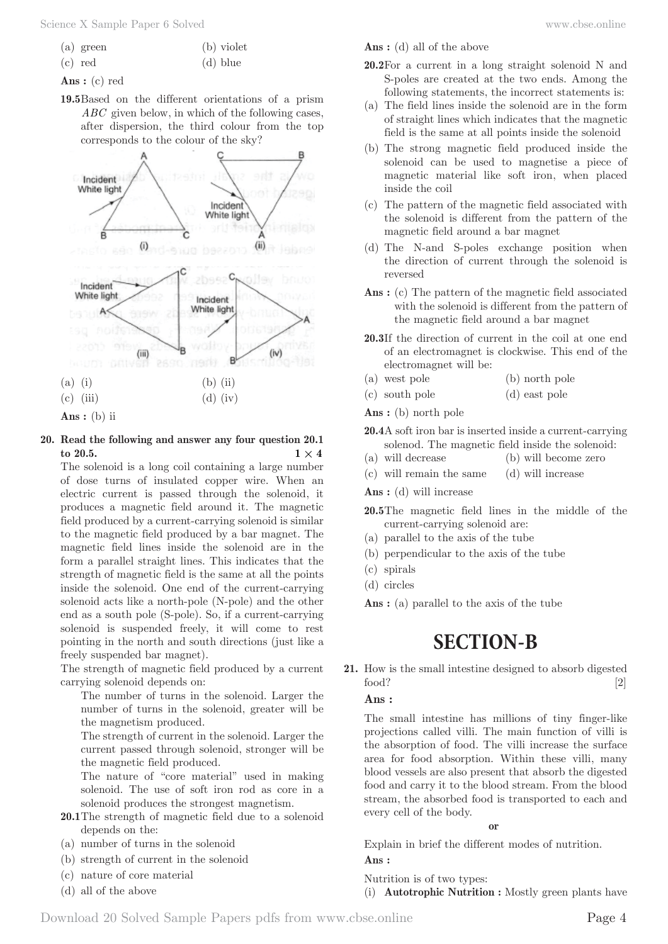- (a) green (b) violet
- (c) red (d) blue
- **Ans :** (c) red
- **19.5** Based on the different orientations of a prism *ABC* given below, in which of the following cases, after dispersion, the third colour from the top corresponds to the colour of the sky?



- **20. Read the following and answer any four question 20.1**   $\times$  **1**  $\times$  **4**  $\times$  **<b>1**  $\times$  **4** 
	- The solenoid is a long coil containing a large number of dose turns of insulated copper wire. When an electric current is passed through the solenoid, it produces a magnetic field around it. The magnetic field produced by a current-carrying solenoid is similar to the magnetic field produced by a bar magnet. The magnetic field lines inside the solenoid are in the form a parallel straight lines. This indicates that the strength of magnetic field is the same at all the points inside the solenoid. One end of the current-carrying solenoid acts like a north-pole (N-pole) and the other end as a south pole (S-pole). So, if a current-carrying solenoid is suspended freely, it will come to rest pointing in the north and south directions (just like a freely suspended bar magnet).

The strength of magnetic field produced by a current carrying solenoid depends on:

 The number of turns in the solenoid. Larger the number of turns in the solenoid, greater will be the magnetism produced.

 The strength of current in the solenoid. Larger the current passed through solenoid, stronger will be the magnetic field produced.

 The nature of "core material" used in making solenoid. The use of soft iron rod as core in a solenoid produces the strongest magnetism.

- **20.1** The strength of magnetic field due to a solenoid depends on the:
- (a) number of turns in the solenoid
- (b) strength of current in the solenoid
- (c) nature of core material
- (d) all of the above

**Ans :** (d) all of the above

- **20.2** For a current in a long straight solenoid N and S-poles are created at the two ends. Among the following statements, the incorrect statements is:
- (a) The field lines inside the solenoid are in the form of straight lines which indicates that the magnetic field is the same at all points inside the solenoid
- (b) The strong magnetic field produced inside the solenoid can be used to magnetise a piece of magnetic material like soft iron, when placed inside the coil
- (c) The pattern of the magnetic field associated with the solenoid is different from the pattern of the magnetic field around a bar magnet
- (d) The N-and S-poles exchange position when the direction of current through the solenoid is reversed
- Ans : (c) The pattern of the magnetic field associated with the solenoid is different from the pattern of the magnetic field around a bar magnet
- **20.3** If the direction of current in the coil at one end of an electromagnet is clockwise. This end of the electromagnet will be:
- (a) west pole (b) north pole
- (c) south pole (d) east pole

**Ans :** (b) north pole

- **20.4** A soft iron bar is inserted inside a current-carrying solenod. The magnetic field inside the solenoid:
- (a) will decrease (b) will become zero
- (c) will remain the same (d) will increase

**Ans :** (d) will increase

- **20.5** The magnetic field lines in the middle of the current-carrying solenoid are:
- (a) parallel to the axis of the tube
- (b) perpendicular to the axis of the tube
- (c) spirals
- (d) circles

**Ans :** (a) parallel to the axis of the tube

# **SECTION-B**

**21.** How is the small intestine designed to absorb digested food? [2]

#### **Ans :**

The small intestine has millions of tiny finger-like projections called villi. The main function of villi is the absorption of food. The villi increase the surface area for food absorption. Within these villi, many blood vessels are also present that absorb the digested food and carry it to the blood stream. From the blood stream, the absorbed food is transported to each and every cell of the body.

**or**

Explain in brief the different modes of nutrition. **Ans :** 

Nutrition is of two types:

(i) **Autotrophic Nutrition :** Mostly green plants have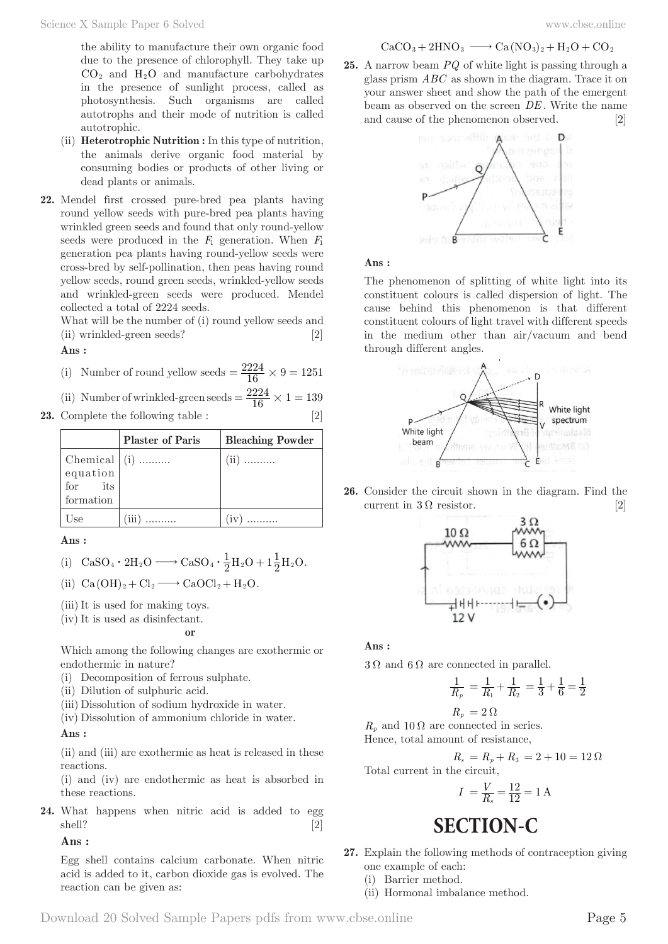the ability to manufacture their own organic food due to the presence of chlorophyll. They take up  $CO<sub>2</sub>$  and  $H<sub>2</sub>O$  and manufacture carbohydrates in the presence of sunlight process, called as photosynthesis. Such organisms are called autotrophs and their mode of nutrition is called autotrophic.

- (ii) **Heterotrophic Nutrition :** In this type of nutrition, the animals derive organic food material by consuming bodies or products of other living or dead plants or animals.
- **22.** Mendel first crossed pure-bred pea plants having round yellow seeds with pure-bred pea plants having wrinkled green seeds and found that only round-yellow seeds were produced in the  $F_1$  generation. When  $F_1$ generation pea plants having round-yellow seeds were cross-bred by self-pollination, then peas having round yellow seeds, round green seeds, wrinkled-yellow seeds and wrinkled-green seeds were produced. Mendel collected a total of 2224 seeds.

What will be the number of (i) round yellow seeds and (ii) wrinkled-green seeds? [2]

#### **Ans :**

(i) Number of round yellow seeds  $=$   $\frac{2224}{16} \times 9 = 1251$ 

(ii) Number of wrinkled-green seeds = 
$$
\frac{2224}{16} \times 1 = 139
$$

**23.** Complete the following table : [2]

|                      | <b>Plaster of Paris</b> | <b>Bleaching Powder</b> |
|----------------------|-------------------------|-------------------------|
| $ $ Chemical $ $ (i) |                         | (iii)                   |
| equation             |                         |                         |
| for its              |                         |                         |
| formation            |                         |                         |
| l Use                | $\frac{1}{111}$         |                         |

**Ans :** 

(i) 
$$
CaSO_4 \cdot 2H_2O \longrightarrow CaSO_4 \cdot \frac{1}{2}H_2O + 1\frac{1}{2}H_2O.
$$

(ii)  $Ca(OH)_2 + Cl_2 \longrightarrow CaOCl_2 + H_2O$ .

- (iii) It is used for making toys.
- (iv) It is used as disinfectant.

$$
\quad \text{or} \quad
$$

Which among the following changes are exothermic or endothermic in nature?

- (i) Decomposition of ferrous sulphate.
- (ii) Dilution of sulphuric acid.
- (iii) Dissolution of sodium hydroxide in water.
- (iv) Dissolution of ammonium chloride in water.

### **Ans :**

(ii) and (iii) are exothermic as heat is released in these reactions.

(i) and (iv) are endothermic as heat is absorbed in these reactions.

**24.** What happens when nitric acid is added to egg shell? [2]

**Ans :** 

Egg shell contains calcium carbonate. When nitric acid is added to it, carbon dioxide gas is evolved. The reaction can be given as:

$$
\mathrm{CaCO_3} + 2\mathrm{HNO_3} \longrightarrow \mathrm{Ca}(\mathrm{NO_3})_2 + \mathrm{H_2O} + \mathrm{CO_2}
$$

**25.** A narrow beam *PQ* of white light is passing through a glass prism *ABC* as shown in the diagram. Trace it on your answer sheet and show the path of the emergent beam as observed on the screen *DE* . Write the name and cause of the phenomenon observed. [2]



#### **Ans :**

The phenomenon of splitting of white light into its constituent colours is called dispersion of light. The cause behind this phenomenon is that different constituent colours of light travel with different speeds in the medium other than air/vacuum and bend through different angles.



**26.** Consider the circuit shown in the diagram. Find the current in  $3\Omega$  resistor. [2]



**Ans :** 

 $3 \Omega$  and  $6 \Omega$  are connected in parallel.

$$
\frac{1}{R_p} = \frac{1}{R_1} + \frac{1}{R_2} = \frac{1}{3} + \frac{1}{6} = \frac{1}{2}
$$

$$
R_p\,=2\,\Omega
$$

 $R_p$  and 10  $\Omega$  are connected in series. Hence, total amount of resistance,

$$
R_s = R_p + R_3 = 2 + 10 = 12 \,\Omega
$$

Total current in the circuit,

$$
I = \frac{V}{R_s} = \frac{12}{12} = 1 \text{ A}
$$

# **SECTION-C**

**27.** Explain the following methods of contraception giving one example of each:

(i) Barrier method.

(ii) Hormonal imbalance method.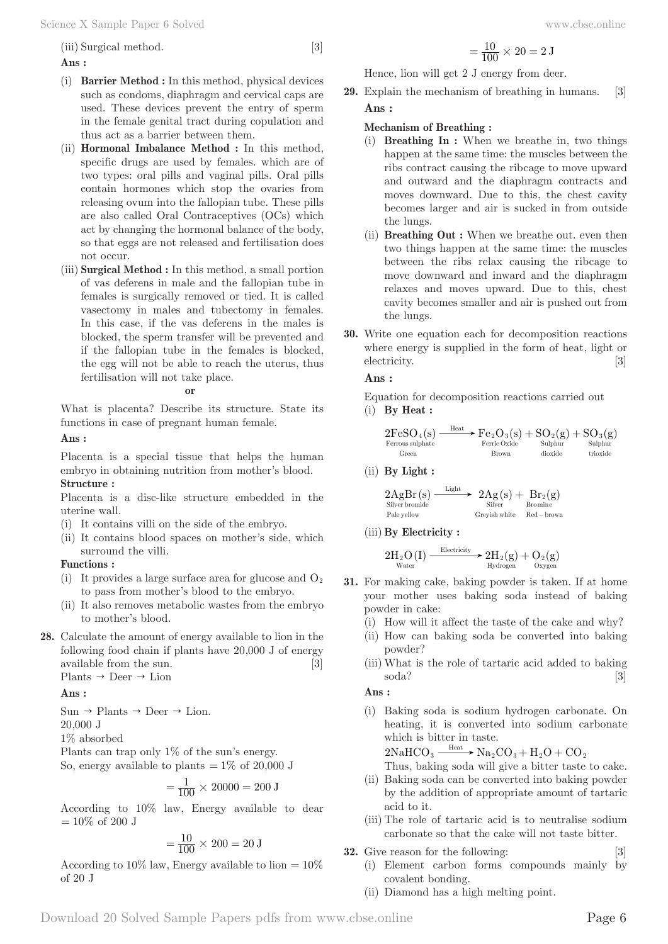(iii) Surgical method. [3]

### **Ans :**

- (i) **Barrier Method :** In this method, physical devices such as condoms, diaphragm and cervical caps are used. These devices prevent the entry of sperm in the female genital tract during copulation and thus act as a barrier between them.
- (ii) **Hormonal Imbalance Method :** In this method, specific drugs are used by females. which are of two types: oral pills and vaginal pills. Oral pills contain hormones which stop the ovaries from releasing ovum into the fallopian tube. These pills are also called Oral Contraceptives (OCs) which act by changing the hormonal balance of the body, so that eggs are not released and fertilisation does not occur.
- (iii) **Surgical Method :** In this method, a small portion of vas deferens in male and the fallopian tube in females is surgically removed or tied. It is called vasectomy in males and tubectomy in females. In this case, if the vas deferens in the males is blocked, the sperm transfer will be prevented and if the fallopian tube in the females is blocked, the egg will not be able to reach the uterus, thus fertilisation will not take place.

**or**

What is placenta? Describe its structure. State its functions in case of pregnant human female.

**Ans :** 

Placenta is a special tissue that helps the human embryo in obtaining nutrition from mother's blood. **Structure :**

Placenta is a disc-like structure embedded in the uterine wall.

- (i) It contains villi on the side of the embryo.
- (ii) It contains blood spaces on mother's side, which surround the villi.

### **Functions :**

- (i) It provides a large surface area for glucose and  $O_2$ to pass from mother's blood to the embryo.
- (ii) It also removes metabolic wastes from the embryo to mother's blood.
- **28.** Calculate the amount of energy available to lion in the following food chain if plants have 20,000 J of energy available from the sun. [3] Plants  $\rightarrow$  Deer  $\rightarrow$  Lion

**Ans :** 

 $Sun \rightarrow$  Plants  $\rightarrow$  Deer  $\rightarrow$  Lion. 20,000 J

1% absorbed

Plants can trap only 1% of the sun's energy. So, energy available to plants  $= 1\%$  of 20,000 J

$$
= \frac{1}{100} \times 20000 = 200 \text{ J}
$$

According to 10% law, Energy available to dear  $= 10\%$  of 200 J

$$
= \frac{10}{100} \times 200 = 20 \text{ J}
$$

According to 10% law, Energy available to lion  $= 10\%$ of 20 J

$$
= \frac{10}{100} \times 20 = 2 \text{ J}
$$

Hence, lion will get 2 J energy from deer.

**29.** Explain the mechanism of breathing in humans. [3] **Ans :** 

### **Mechanism of Breathing :**

- (i) **Breathing In :** When we breathe in, two things happen at the same time: the muscles between the ribs contract causing the ribcage to move upward and outward and the diaphragm contracts and moves downward. Due to this, the chest cavity becomes larger and air is sucked in from outside the lungs.
- (ii) **Breathing Out :** When we breathe out. even then two things happen at the same time: the muscles between the ribs relax causing the ribcage to move downward and inward and the diaphragm relaxes and moves upward. Due to this, chest cavity becomes smaller and air is pushed out from the lungs.
- **30.** Write one equation each for decomposition reactions where energy is supplied in the form of heat, light or electricity. [3]

**Ans :** 

Equation for decomposition reactions carried out (i) **By Heat :**

2FeSO s Fe O s SO g SO g () () ( ) ( ) Ferrous sulphate Green Heat Ferric Oxide Brown Sulphur dioxide Sulphur trioxide 4 23 2 3 + +

(ii) **By Light :**

$$
\begin{array}{l} 2AgBr\left(s\right)\xrightarrow{\quad\quad\text{Light}\quad\quad} 2Ag\left(s\right)+\quadBr_{2}\left(g\right) \\ \text{Silver bromide} \\ \text{Pale yellow} \\ \text{Greyish white} \\ \text{Red-brown} \end{array}
$$

(iii) **By Electricity :**

$$
2H_2O\left(I\right)\xrightarrow{\text{Electricity}} 2H_2(g)+O_2(g) \atop \text{Hydrogen}}
$$

- **31.** For making cake, baking powder is taken. If at home your mother uses baking soda instead of baking powder in cake:
	- (i) How will it affect the taste of the cake and why?
	- (ii) How can baking soda be converted into baking powder?
	- (iii) What is the role of tartaric acid added to baking soda? [3]

**Ans :** 

(i) Baking soda is sodium hydrogen carbonate. On heating, it is converted into sodium carbonate which is bitter in taste.

 $2\text{NaHCO}_3 \longrightarrow \text{Na}_2\text{CO}_3 + \text{H}_2\text{O} + \text{CO}_2$ 

Thus, baking soda will give a bitter taste to cake.

- (ii) Baking soda can be converted into baking powder by the addition of appropriate amount of tartaric acid to it.
- (iii) The role of tartaric acid is to neutralise sodium carbonate so that the cake will not taste bitter.
- **32.** Give reason for the following: [3]
	- (i) Element carbon forms compounds mainly by covalent bonding.
	- (ii) Diamond has a high melting point.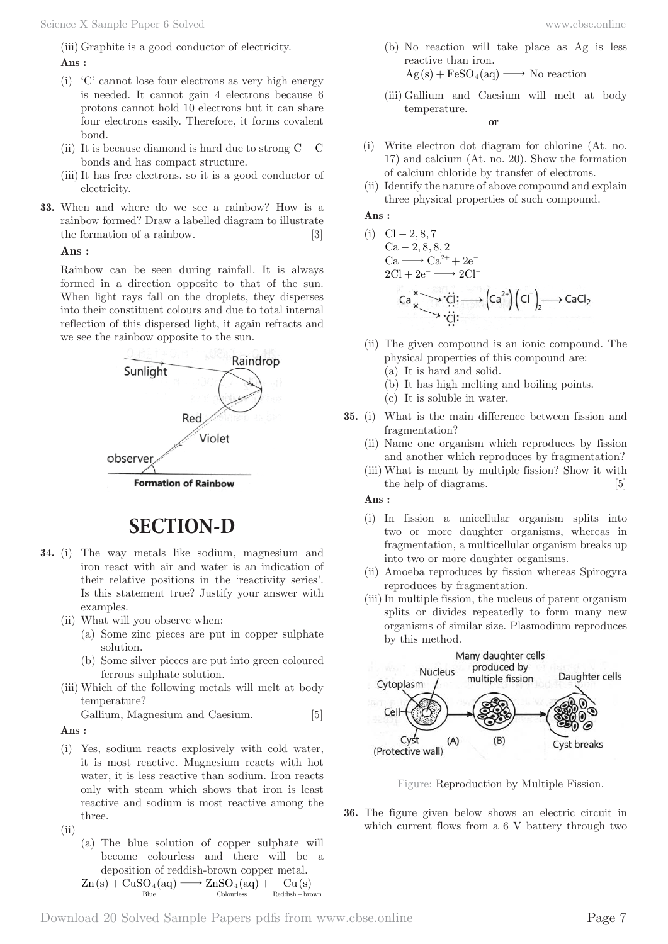(iii) Graphite is a good conductor of electricity.

# **Ans :**

- (i) 'C' cannot lose four electrons as very high energy is needed. It cannot gain 4 electrons because 6 protons cannot hold 10 electrons but it can share four electrons easily. Therefore, it forms covalent bond.
- (ii) It is because diamond is hard due to strong  $C C$ bonds and has compact structure.
- (iii) It has free electrons. so it is a good conductor of electricity.
- **33.** When and where do we see a rainbow? How is a rainbow formed? Draw a labelled diagram to illustrate the formation of a rainbow. [3]

### **Ans :**

Rainbow can be seen during rainfall. It is always formed in a direction opposite to that of the sun. When light rays fall on the droplets, they disperses into their constituent colours and due to total internal reflection of this dispersed light, it again refracts and we see the rainbow opposite to the sun.



# **SECTION-D**

- **34.** (i) The way metals like sodium, magnesium and iron react with air and water is an indication of their relative positions in the 'reactivity series'. Is this statement true? Justify your answer with examples.
	- (ii) What will you observe when:
		- (a) Some zinc pieces are put in copper sulphate solution.
		- (b) Some silver pieces are put into green coloured ferrous sulphate solution.
	- (iii) Which of the following metals will melt at body temperature?

Gallium, Magnesium and Caesium. [5]

**Ans :** 

- (i) Yes, sodium reacts explosively with cold water, it is most reactive. Magnesium reacts with hot water, it is less reactive than sodium. Iron reacts only with steam which shows that iron is least reactive and sodium is most reactive among the three.
- $(iii)$ 
	- (a) The blue solution of copper sulphate will become colourless and there will be a deposition of reddish-brown copper metal.

 $\text{Zn}(s) + \text{CuSO}_4(aq) \longrightarrow \text{ZnSO}_4(aq) + \text{Cu}(s)$ Blue Colourless Reddish brown −

- (b) No reaction will take place as Ag is less reactive than iron.  $Ag(s) + FeSO_4(aq) \longrightarrow No reaction$
- (iii) Gallium and Caesium will melt at body temperature.

**or**

- (i) Write electron dot diagram for chlorine (At. no. 17) and calcium (At. no. 20). Show the formation of calcium chloride by transfer of electrons.
- (ii) Identify the nature of above compound and explain three physical properties of such compound.

**Ans :** 

(i) 
$$
Cl-2, 8, 7
$$
  
\n $Ca-2, 8, 8, 2$   
\n $Ca \longrightarrow Ca^{2+} + 2e^-$   
\n $2Cl + 2e^- \longrightarrow 2Cl^-$ 

$$
\begin{array}{ccc}\n Ca & \longrightarrow & \stackrel{\cdot}{C} & \stackrel{\cdot}{\leftarrow} & \stackrel{\cdot}{\leftarrow} & \stackrel{\cdot}{\leftarrow} & \stackrel{\cdot}{\leftarrow} & \stackrel{\cdot}{\leftarrow} & \stackrel{\cdot}{\leftarrow} & \stackrel{\cdot}{\leftarrow} & \stackrel{\cdot}{\leftarrow} & \stackrel{\cdot}{\leftarrow} & \stackrel{\cdot}{\leftarrow} & \stackrel{\cdot}{\leftarrow} & \stackrel{\cdot}{\leftarrow} & \stackrel{\cdot}{\leftarrow} & \stackrel{\cdot}{\leftarrow} & \stackrel{\cdot}{\leftarrow} & \stackrel{\cdot}{\leftarrow} & \stackrel{\cdot}{\leftarrow} & \stackrel{\cdot}{\leftarrow} & \stackrel{\cdot}{\leftarrow} & \stackrel{\cdot}{\leftarrow} & \stackrel{\cdot}{\leftarrow} & \stackrel{\cdot}{\leftarrow} & \stackrel{\cdot}{\leftarrow} & \stackrel{\cdot}{\leftarrow} & \stackrel{\cdot}{\leftarrow} & \stackrel{\cdot}{\leftarrow} & \stackrel{\cdot}{\leftarrow} & \stackrel{\cdot}{\leftarrow} & \stackrel{\cdot}{\leftarrow} & \stackrel{\cdot}{\leftarrow} & \stackrel{\cdot}{\leftarrow} & \stackrel{\cdot}{\leftarrow} & \stackrel{\cdot}{\leftarrow} & \stackrel{\cdot}{\leftarrow} & \stackrel{\cdot}{\leftarrow} & \stackrel{\cdot}{\leftarrow} & \stackrel{\cdot}{\leftarrow} & \stackrel{\cdot}{\leftarrow} & \stackrel{\cdot}{\leftarrow} & \stackrel{\cdot}{\leftarrow} & \stackrel{\cdot}{\leftarrow} & \stackrel{\cdot}{\leftarrow} & \stackrel{\cdot}{\leftarrow} & \stackrel{\cdot}{\leftarrow} & \stackrel{\cdot}{\leftarrow} & \stackrel{\cdot}{\leftarrow} & \stackrel{\cdot}{\leftarrow} & \stackrel{\cdot}{\leftarrow} & \stackrel{\cdot}{\leftarrow} & \stackrel{\cdot}{\leftarrow} & \stackrel{\cdot}{\leftarrow} & \stackrel{\cdot}{\leftarrow} & \stackrel{\cdot}{\leftarrow} & \stackrel{\cdot}{\leftarrow} & \stackrel{\cdot}{\leftarrow} & \stackrel{\cdot}{\leftarrow} & \stackrel{\cdot}{\leftarrow} & \stackrel{\cdot}{\leftarrow} & \stackrel{\cdot}{\leftarrow} & \stackrel{\cdot}{\leftarrow} & \stackrel{\cdot}{\leftarrow} & \stackrel{\cdot}{\leftarrow} & \stackrel{\cdot}{\leftarrow} & \stackrel{\cdot}{\leftarrow} & \stackrel{\cdot}{\leftarrow} & \stackrel{\cdot}{\leftarrow} & \stackrel{\cdot}{\leftarrow} & \
$$

- (ii) The given compound is an ionic compound. The physical properties of this compound are:
	- (a) It is hard and solid.
	- (b) It has high melting and boiling points.
	- (c) It is soluble in water.
- **35.** (i) What is the main difference between fission and fragmentation?
	- (ii) Name one organism which reproduces by fission and another which reproduces by fragmentation?
	- (iii) What is meant by multiple fission? Show it with the help of diagrams. [5]

**Ans :** 

- (i) In fission a unicellular organism splits into two or more daughter organisms, whereas in fragmentation, a multicellular organism breaks up into two or more daughter organisms.
- (ii) Amoeba reproduces by fission whereas Spirogyra reproduces by fragmentation.
- (iii) In multiple fission, the nucleus of parent organism splits or divides repeatedly to form many new organisms of similar size. Plasmodium reproduces by this method.



Figure: Reproduction by Multiple Fission.

**36.** The figure given below shows an electric circuit in which current flows from a 6 V battery through two